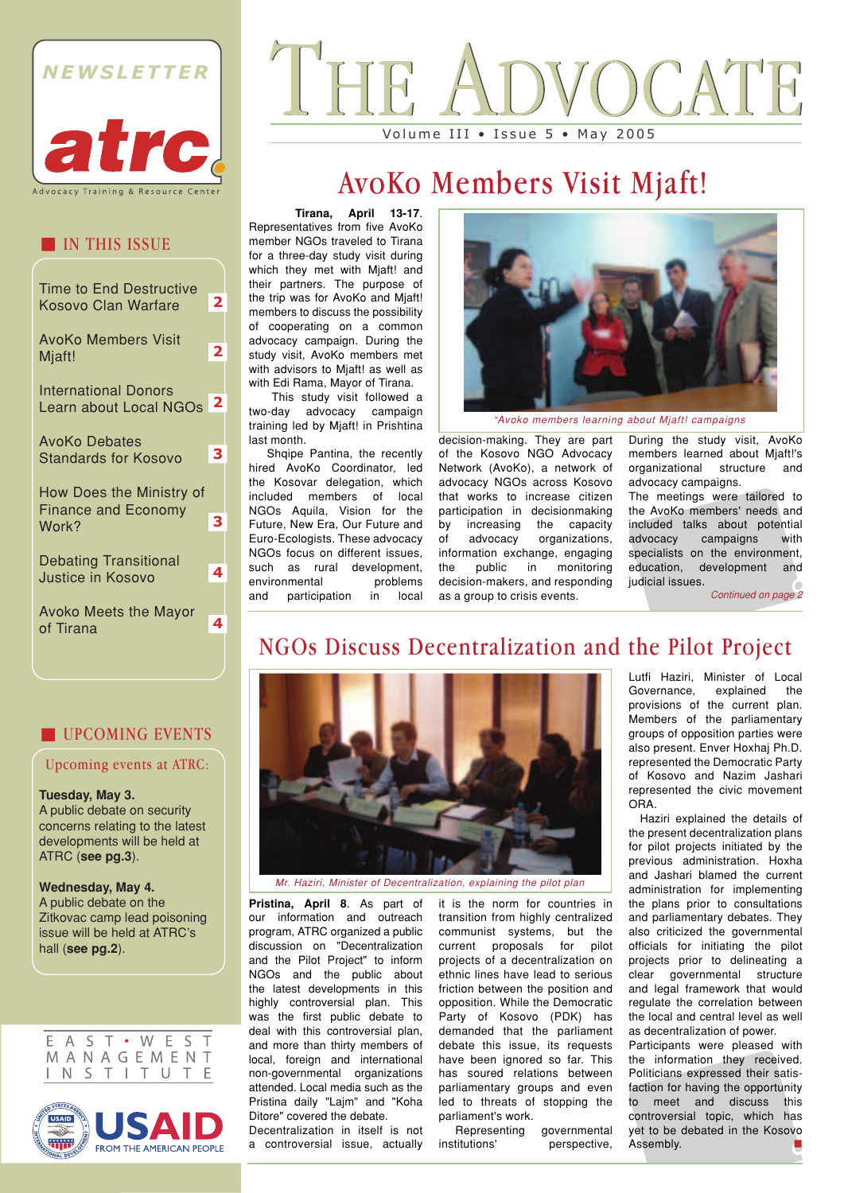

### IN THIS ISSUE

| <b>Time to End Destructive</b><br><b>Kosovo Clan Warfare</b> | 2 |
|--------------------------------------------------------------|---|
| <b>AvoKo Members Visit</b><br>Mjaft!                         |   |
| <b>International Donors</b><br>Learn about Local NGOs        |   |
| <b>AvoKo Debates</b><br>Standards for Kosovo                 | 3 |
| How Does the Ministry of<br><b>Finance and Economy</b>       |   |
| Work?                                                        | З |
| <b>Debating Transitional</b><br><b>Justice in Kosovo</b>     | 4 |
| <b>Avoko Meets the Mayor</b><br>of Tirana                    |   |

# OCATE Volume III • Issue 5 • May 2005

## AvoKo Members Visit Mjaft!

 **Tirana, April 13-17**. Representatives from five AvoKo member NGOs traveled to Tirana for a three-day study visit during which they met with Mjaft! and their partners. The purpose of the trip was for AvoKo and Mjaft! members to discuss the possibility of cooperating on a common advocacy campaign. During the study visit, AvoKo members met with advisors to Mjaft! as well as with Edi Rama, Mayor of Tirana.

 This study visit followed a two-day advocacy campaign training led by Mjaft! in Prishtina last month.

 Shqipe Pantina, the recently hired AvoKo Coordinator, led the Kosovar delegation, which included members of local NGOs Aquila, Vision for the Future, New Era, Our Future and Euro-Ecologists. These advocacy NGOs focus on different issues, such as rural development,<br>environmental problems environmental and participation in local



"Avoko members learning about Mjaft! campaigns

decision-making. They are part of the Kosovo NGO Advocacy Network (AvoKo), a network of advocacy NGOs across Kosovo that works to increase citizen participation in decisionmaking by increasing the capacity of advocacy organizations, information exchange, engaging the public in monitoring decision-makers, and responding as a group to crisis events.

During the study visit, AvoKo members learned about Mjaft!'s organizational structure and advocacy campaigns.

The meetings were tailored to the AvoKo members' needs and included talks about potential advocacy campaigns with specialists on the environment, education, development and judicial issues. Continued on page 2

### NGOs Discuss Decentralization and the Pilot Project

#### UPCOMING EVENTS

#### Upcoming events at ATRC:

#### **Tuesday, May 3.**

A public debate on security concerns relating to the latest developments will be held at ATRC (**see pg.3**).

#### **Wednesday, May 4.**

A public debate on the Zitkovac camp lead poisoning issue will be held at ATRC's hall (**see pg.2**).







Mr. Haziri, Minister of Decentralization, explaining the pilot plan

**Pristina, April 8**. As part of our information and outreach program, ATRC organized a public discussion on "Decentralization and the Pilot Project" to inform NGOs and the public about the latest developments in this highly controversial plan. This was the first public debate to deal with this controversial plan, and more than thirty members of local, foreign and international non-governmental organizations attended. Local media such as the Pristina daily "Lajm" and "Koha Ditore" covered the debate. Decentralization in itself is not a controversial issue, actually

it is the norm for countries in transition from highly centralized communist systems, but the current proposals for pilot projects of a decentralization on ethnic lines have lead to serious friction between the position and opposition. While the Democratic Party of Kosovo (PDK) has demanded that the parliament debate this issue, its requests have been ignored so far. This has soured relations between parliamentary groups and even led to threats of stopping the parliament's work.

 Representing governmental institutions' perspective, Lutfi Haziri, Minister of Local Governance, explained the provisions of the current plan. Members of the parliamentary groups of opposition parties were also present. Enver Hoxhaj Ph.D. represented the Democratic Party of Kosovo and Nazim Jashari represented the civic movement ORA.

 Haziri explained the details of the present decentralization plans for pilot projects initiated by the previous administration. Hoxha and Jashari blamed the current administration for implementing the plans prior to consultations and parliamentary debates. They also criticized the governmental officials for initiating the pilot projects prior to delineating a clear governmental structure and legal framework that would regulate the correlation between the local and central level as well as decentralization of power.

Participants were pleased with the information they received. Politicians expressed their satisfaction for having the opportunity to meet and discuss this controversial topic, which has yet to be debated in the Kosovo Assembly.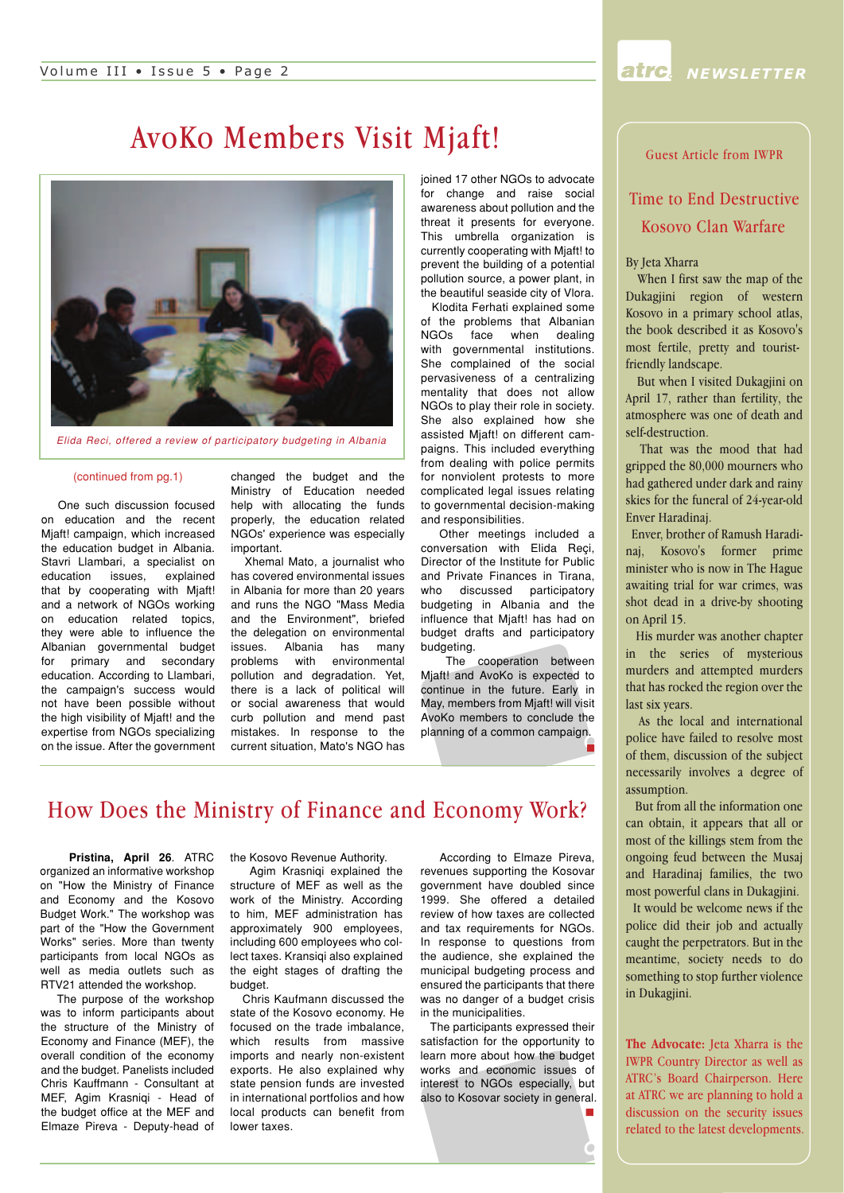### AvoKo Members Visit Mjaft!



Elida Reci, offered a review of participatory budgeting in Albania

#### (continued from pg.1)

 One such discussion focused on education and the recent Mjaft! campaign, which increased the education budget in Albania. Stavri Llambari, a specialist on education issues, explained that by cooperating with Mjaft! and a network of NGOs working on education related topics, they were able to influence the Albanian governmental budget for primary and secondary education. According to Llambari, the campaign's success would not have been possible without the high visibility of Mjaft! and the expertise from NGOs specializing on the issue. After the government changed the budget and the Ministry of Education needed help with allocating the funds properly, the education related NGOs' experience was especially important.

 Xhemal Mato, a journalist who has covered environmental issues in Albania for more than 20 years and runs the NGO "Mass Media and the Environment", briefed the delegation on environmental issues. Albania has many problems with environmental pollution and degradation. Yet, there is a lack of political will or social awareness that would curb pollution and mend past mistakes. In response to the current situation, Mato's NGO has

joined 17 other NGOs to advocate for change and raise social awareness about pollution and the threat it presents for everyone. This umbrella organization is currently cooperating with Mjaft! to prevent the building of a potential pollution source, a power plant, in the beautiful seaside city of Vlora.

 Klodita Ferhati explained some of the problems that Albanian<br>NGOs face when dealing face when dealing with governmental institutions. She complained of the social pervasiveness of a centralizing mentality that does not allow NGOs to play their role in society. She also explained how she assisted Mjaft! on different campaigns. This included everything from dealing with police permits for nonviolent protests to more complicated legal issues relating to governmental decision-making and responsibilities.

 Other meetings included a conversation with Elida Reçi, Director of the Institute for Public and Private Finances in Tirana, who discussed participatory budgeting in Albania and the influence that Mjaft! has had on budget drafts and participatory budgeting.

 The cooperation between Mjaft! and AvoKo is expected to continue in the future. Early in May, members from Mjaft! will visit AvoKo members to conclude the planning of a common campaign.

# *NEWSLETTER*

Guest Article from IWPR

### Time to End Destructive Kosovo Clan Warfare

#### By Jeta Xharra

 When I first saw the map of the Dukagjini region of western Kosovo in a primary school atlas, the book described it as Kosovo's most fertile, pretty and touristfriendly landscape.

 But when I visited Dukagjini on April 17, rather than fertility, the atmosphere was one of death and self-destruction.

 That was the mood that had gripped the 80,000 mourners who had gathered under dark and rainy skies for the funeral of 24-year-old Enver Haradinaj.

 Enver, brother of Ramush Haradinaj, Kosovo's former prime minister who is now in The Hague awaiting trial for war crimes, was shot dead in a drive-by shooting on April 15.

 His murder was another chapter in the series of mysterious murders and attempted murders that has rocked the region over the last six years.

 As the local and international police have failed to resolve most of them, discussion of the subject necessarily involves a degree of assumption.

 But from all the information one can obtain, it appears that all or most of the killings stem from the ongoing feud between the Musaj and Haradinaj families, the two most powerful clans in Dukagjini.

 It would be welcome news if the police did their job and actually caught the perpetrators. But in the meantime, society needs to do something to stop further violence in Dukagjini.

**The Advocate:** Jeta Xharra is the IWPR Country Director as well as ATRC's Board Chairperson. Here at ATRC we are planning to hold a discussion on the security issues related to the latest developments.

### How Does the Ministry of Finance and Economy Work?

 **Pristina, April 26**. ATRC organized an informative workshop on "How the Ministry of Finance and Economy and the Kosovo Budget Work." The workshop was part of the "How the Government Works" series. More than twenty participants from local NGOs as well as media outlets such as RTV21 attended the workshop.

 The purpose of the workshop was to inform participants about the structure of the Ministry of Economy and Finance (MEF), the overall condition of the economy and the budget. Panelists included Chris Kauffmann - Consultant at MEF, Agim Krasniqi - Head of the budget office at the MEF and Elmaze Pireva - Deputy-head of the Kosovo Revenue Authority.

 Agim Krasniqi explained the structure of MEF as well as the work of the Ministry. According to him, MEF administration has approximately 900 employees, including 600 employees who collect taxes. Kransiqi also explained the eight stages of drafting the budget.

 Chris Kaufmann discussed the state of the Kosovo economy. He focused on the trade imbalance, which results from massive imports and nearly non-existent exports. He also explained why state pension funds are invested in international portfolios and how local products can benefit from lower taxes.

 According to Elmaze Pireva, revenues supporting the Kosovar government have doubled since 1999. She offered a detailed review of how taxes are collected and tax requirements for NGOs. In response to questions from the audience, she explained the municipal budgeting process and ensured the participants that there was no danger of a budget crisis in the municipalities.

 The participants expressed their satisfaction for the opportunity to learn more about how the budget works and economic issues of interest to NGOs especially, but also to Kosovar society in general.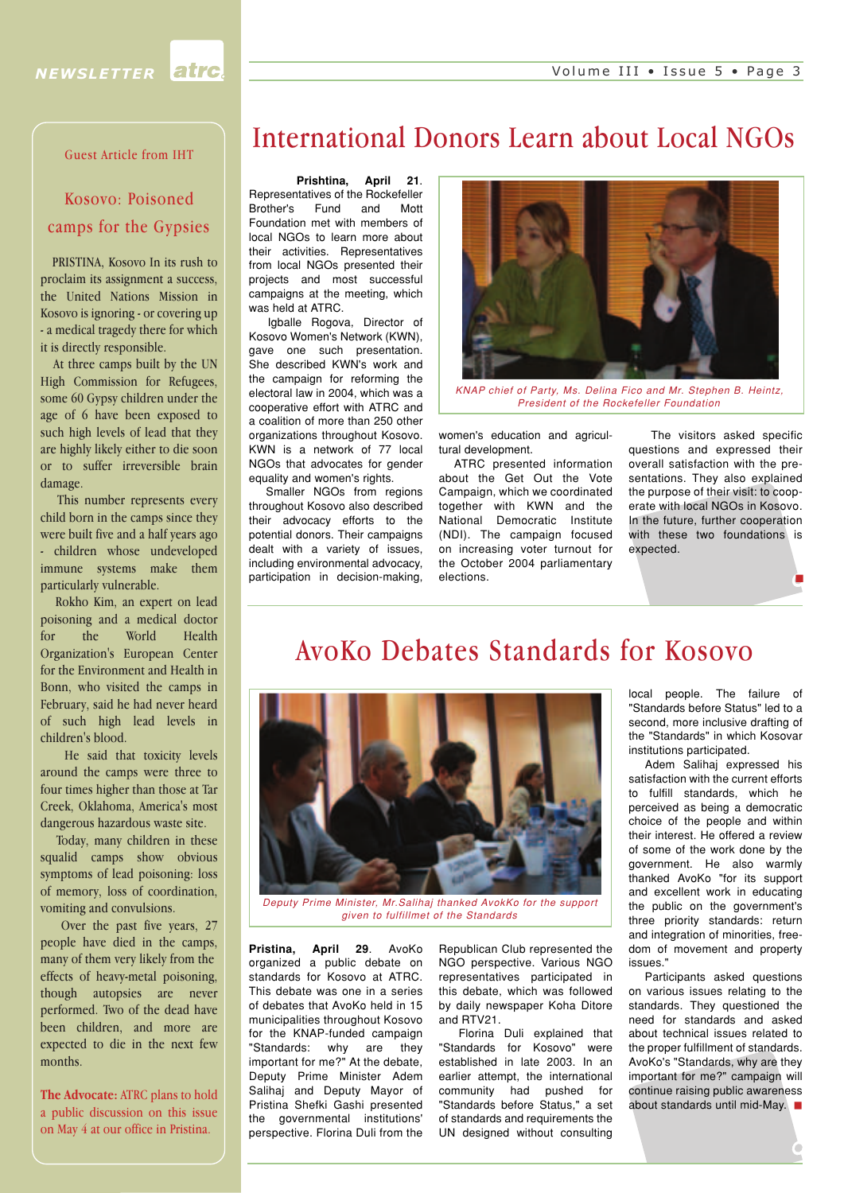#### **atrc** *NEWSLETTER*

Guest Article from IHT

### Kosovo: Poisoned camps for the Gypsies

 PRISTINA, Kosovo In its rush to proclaim its assignment a success, the United Nations Mission in Kosovo is ignoring - or covering up - a medical tragedy there for which it is directly responsible.

 At three camps built by the UN High Commission for Refugees, some 60 Gypsy children under the age of 6 have been exposed to such high levels of lead that they are highly likely either to die soon or to suffer irreversible brain damage.

 This number represents every child born in the camps since they were built five and a half years ago - children whose undeveloped immune systems make them particularly vulnerable.

 Rokho Kim, an expert on lead poisoning and a medical doctor for the World Health Organization's European Center for the Environment and Health in Bonn, who visited the camps in February, said he had never heard of such high lead levels in children's blood.

 He said that toxicity levels around the camps were three to four times higher than those at Tar Creek, Oklahoma, America's most dangerous hazardous waste site.

 Today, many children in these squalid camps show obvious symptoms of lead poisoning: loss of memory, loss of coordination, vomiting and convulsions.

 Over the past five years, 27 people have died in the camps, many of them very likely from the effects of heavy-metal poisoning, though autopsies are never performed. Two of the dead have been children, and more are expected to die in the next few months.

**The Advocate:** ATRC plans to hold a public discussion on this issue on May 4 at our office in Pristina.

### International Donors Learn about Local NGOs

 **Prishtina, April 21**. Representatives of the Rockefeller<br>Brother's Fund and Mott Fund and Foundation met with members of local NGOs to learn more about their activities. Representatives from local NGOs presented their projects and most successful campaigns at the meeting, which was held at ATRC.

 Igballe Rogova, Director of Kosovo Women's Network (KWN), gave one such presentation. She described KWN's work and the campaign for reforming the electoral law in 2004, which was a cooperative effort with ATRC and a coalition of more than 250 other organizations throughout Kosovo. KWN is a network of 77 local NGOs that advocates for gender equality and women's rights.

 Smaller NGOs from regions throughout Kosovo also described their advocacy efforts to the potential donors. Their campaigns dealt with a variety of issues, including environmental advocacy, participation in decision-making,



KNAP chief of Party, Ms. Delina Fico and Mr. Stephen B. Heintz, President of the Rockefeller Foundation

women's education and agricultural development.

 ATRC presented information about the Get Out the Vote Campaign, which we coordinated together with KWN and the National Democratic Institute (NDI). The campaign focused on increasing voter turnout for the October 2004 parliamentary elections.

 The visitors asked specific questions and expressed their overall satisfaction with the presentations. They also explained the purpose of their visit: to cooperate with local NGOs in Kosovo. In the future, further cooperation with these two foundations is expected.

### AvoKo Debates Standards for Kosovo



Deputy Prime Minister, Mr.Salihaj thanked AvokKo for the support given to fulfillmet of the Standards

**Pristina, April 29**. AvoKo organized a public debate on standards for Kosovo at ATRC. This debate was one in a series of debates that AvoKo held in 15 municipalities throughout Kosovo for the KNAP-funded campaign "Standards: why are they important for me?" At the debate, Deputy Prime Minister Adem Salihaj and Deputy Mayor of Pristina Shefki Gashi presented the governmental institutions' perspective. Florina Duli from the

Republican Club represented the NGO perspective. Various NGO representatives participated in this debate, which was followed by daily newspaper Koha Ditore and RTV21.

 Florina Duli explained that "Standards for Kosovo" were established in late 2003. In an earlier attempt, the international community had pushed for "Standards before Status," a set of standards and requirements the UN designed without consulting

local people. The failure of "Standards before Status" led to a second, more inclusive drafting of the "Standards" in which Kosovar institutions participated.

 Adem Salihaj expressed his satisfaction with the current efforts to fulfill standards, which he perceived as being a democratic choice of the people and within their interest. He offered a review of some of the work done by the government. He also warmly thanked AvoKo "for its support and excellent work in educating the public on the government's three priority standards: return and integration of minorities, freedom of movement and property issues."

 Participants asked questions on various issues relating to the standards. They questioned the need for standards and asked about technical issues related to the proper fulfillment of standards. AvoKo's "Standards, why are they important for me?" campaign will continue raising public awareness about standards until mid-May.